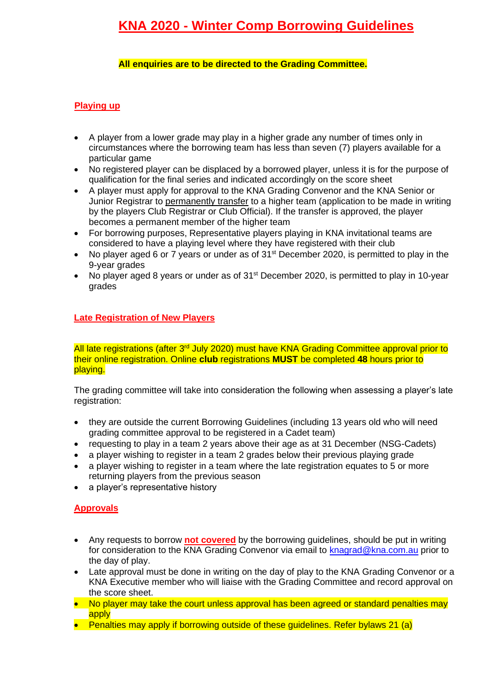## **All enquiries are to be directed to the Grading Committee.**

# **Playing up**

- A player from a lower grade may play in a higher grade any number of times only in circumstances where the borrowing team has less than seven (7) players available for a particular game
- No registered player can be displaced by a borrowed player, unless it is for the purpose of qualification for the final series and indicated accordingly on the score sheet
- A player must apply for approval to the KNA Grading Convenor and the KNA Senior or Junior Registrar to permanently transfer to a higher team (application to be made in writing by the players Club Registrar or Club Official). If the transfer is approved, the player becomes a permanent member of the higher team
- For borrowing purposes, Representative players playing in KNA invitational teams are considered to have a playing level where they have registered with their club
- No player aged 6 or 7 years or under as of 31<sup>st</sup> December 2020, is permitted to play in the 9-year grades
- No player aged 8 years or under as of 31<sup>st</sup> December 2020, is permitted to play in 10-year grades

## **Late Registration of New Players**

All late registrations (after 3<sup>rd</sup> July 2020) must have KNA Grading Committee approval prior to their online registration. Online **club** registrations **MUST** be completed **48** hours prior to playing.

The grading committee will take into consideration the following when assessing a player's late registration:

- they are outside the current Borrowing Guidelines (including 13 years old who will need grading committee approval to be registered in a Cadet team)
- requesting to play in a team 2 years above their age as at 31 December (NSG-Cadets)
- a player wishing to register in a team 2 grades below their previous playing grade
- a player wishing to register in a team where the late registration equates to 5 or more returning players from the previous season
- a player's representative history

## **Approvals**

- Any requests to borrow **not covered** by the borrowing guidelines, should be put in writing for consideration to the KNA Grading Convenor via email to [knagrad@kna.com.au](about:blank) prior to the day of play.
- Late approval must be done in writing on the day of play to the KNA Grading Convenor or a KNA Executive member who will liaise with the Grading Committee and record approval on the score sheet.
- No player may take the court unless approval has been agreed or standard penalties may apply
- Penalties may apply if borrowing outside of these guidelines. Refer bylaws 21 (a)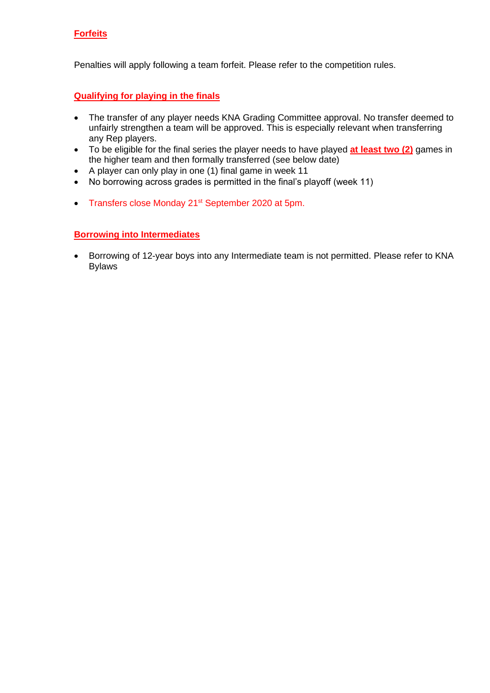## **Forfeits**

Penalties will apply following a team forfeit. Please refer to the competition rules.

### **Qualifying for playing in the finals**

- The transfer of any player needs KNA Grading Committee approval. No transfer deemed to unfairly strengthen a team will be approved. This is especially relevant when transferring any Rep players.
- To be eligible for the final series the player needs to have played **at least two (2)** games in the higher team and then formally transferred (see below date)
- A player can only play in one (1) final game in week 11
- No borrowing across grades is permitted in the final's playoff (week 11)
- Transfers close Monday 21st September 2020 at 5pm.

### **Borrowing into Intermediates**

• Borrowing of 12-year boys into any Intermediate team is not permitted. Please refer to KNA Bylaws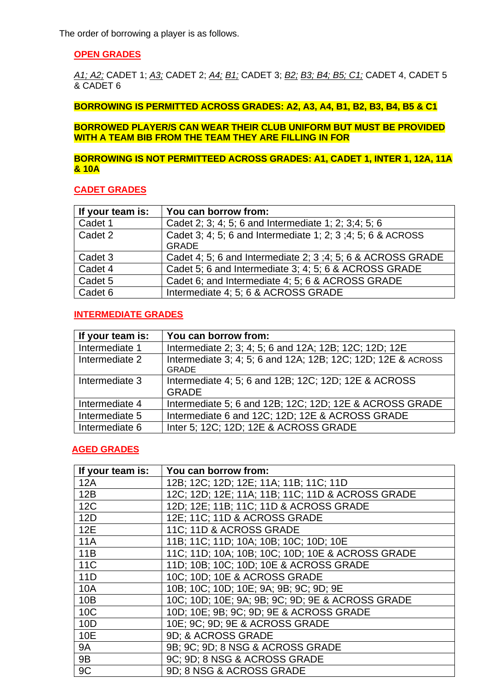The order of borrowing a player is as follows.

## **OPEN GRADES**

*A1; A2;* CADET 1; *A3;* CADET 2; *A4; B1;* CADET 3; *B2; B3; B4; B5; C1;* CADET 4, CADET 5 & CADET 6

**BORROWING IS PERMITTED ACROSS GRADES: A2, A3, A4, B1, B2, B3, B4, B5 & C1**

**BORROWED PLAYER/S CAN WEAR THEIR CLUB UNIFORM BUT MUST BE PROVIDED WITH A TEAM BIB FROM THE TEAM THEY ARE FILLING IN FOR**

## **BORROWING IS NOT PERMITTEED ACROSS GRADES: A1, CADET 1, INTER 1, 12A, 11A & 10A**

#### **CADET GRADES**

| If your team is: | You can borrow from:                                        |
|------------------|-------------------------------------------------------------|
| Cadet 1          | Cadet 2: 3: 4: 5: 6 and Intermediate 1: 2: 3:4: 5: 6        |
| Cadet 2          | Cadet 3; 4; 5; 6 and Intermediate 1; 2; 3; 4; 5; 6 & ACROSS |
|                  | <b>GRADE</b>                                                |
| Cadet 3          | Cadet 4; 5; 6 and Intermediate 2; 3; 4; 5; 6 & ACROSS GRADE |
| Cadet 4          | Cadet 5; 6 and Intermediate 3; 4; 5; 6 & ACROSS GRADE       |
| Cadet 5          | Cadet 6; and Intermediate 4; 5; 6 & ACROSS GRADE            |
| Cadet 6          | Intermediate 4; 5; 6 & ACROSS GRADE                         |

### **INTERMEDIATE GRADES**

| If your team is: | You can borrow from:                                                         |
|------------------|------------------------------------------------------------------------------|
| Intermediate 1   | Intermediate 2; 3; 4; 5; 6 and 12A; 12B; 12C; 12D; 12E                       |
| Intermediate 2   | Intermediate 3; 4; 5; 6 and 12A; 12B; 12C; 12D; 12E & ACROSS<br><b>GRADE</b> |
| Intermediate 3   | Intermediate 4; 5; 6 and 12B; 12C; 12D; 12E & ACROSS<br><b>GRADE</b>         |
| Intermediate 4   | Intermediate 5; 6 and 12B; 12C; 12D; 12E & ACROSS GRADE                      |
| Intermediate 5   | Intermediate 6 and 12C; 12D; 12E & ACROSS GRADE                              |
| Intermediate 6   | Inter 5; 12C; 12D; 12E & ACROSS GRADE                                        |

### **AGED GRADES**

| If your team is: | You can borrow from:                             |
|------------------|--------------------------------------------------|
| 12A              | 12B; 12C; 12D; 12E; 11A; 11B; 11C; 11D           |
| 12B              | 12C; 12D; 12E; 11A; 11B; 11C; 11D & ACROSS GRADE |
| 12C              | 12D; 12E; 11B; 11C; 11D & ACROSS GRADE           |
| 12D              | 12E; 11C; 11D & ACROSS GRADE                     |
| <b>12E</b>       | 11C; 11D & ACROSS GRADE                          |
| <b>11A</b>       | 11B; 11C; 11D; 10A; 10B; 10C; 10D; 10E           |
| 11B              | 11C; 11D; 10A; 10B; 10C; 10D; 10E & ACROSS GRADE |
| 11C              | 11D; 10B; 10C; 10D; 10E & ACROSS GRADE           |
| 11D              | 10C; 10D; 10E & ACROSS GRADE                     |
| 10A              | 10B; 10C; 10D; 10E; 9A; 9B; 9C; 9D; 9E           |
| 10B              | 10C; 10D; 10E; 9A; 9B; 9C; 9D; 9E & ACROSS GRADE |
| 10C              | 10D; 10E; 9B; 9C; 9D; 9E & ACROSS GRADE          |
| 10D              | 10E; 9C; 9D; 9E & ACROSS GRADE                   |
| 10E              | 9D; & ACROSS GRADE                               |
| <b>9A</b>        | 9B: 9C: 9D; 8 NSG & ACROSS GRADE                 |
| <b>9B</b>        | 9C; 9D; 8 NSG & ACROSS GRADE                     |
| 9C               | 9D; 8 NSG & ACROSS GRADE                         |